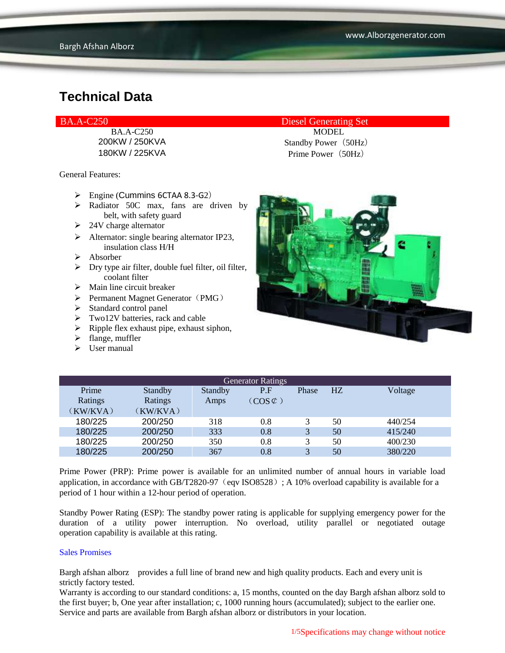General Features:

- $\triangleright$  Engine (Cummins 6CTAA 8.3-G2)
- > Radiator 50C max, fans are driven by belt, with safety guard
- $\geq 24V$  charge alternator
- $\triangleright$  Alternator: single bearing alternator IP23, insulation class H/H
- Absorber
- $\triangleright$  Dry type air filter, double fuel filter, oil filter, coolant filter
- $\triangleright$  Main line circuit breaker
- $\triangleright$  Permanent Magnet Generator (PMG)
- $\triangleright$  Standard control panel
- $\triangleright$  Two12V batteries, rack and cable
- $\triangleright$  Ripple flex exhaust pipe, exhaust siphon,
- $\blacktriangleright$  flange, muffler
- $\triangleright$  User manual

BA.A-C250 Diesel Generating Set

BA.A-C250 MODEL 200KW / 250KVA Standby Power (50Hz) 180KW / 225KVA Prime Power(50Hz)



| <b>Generator Ratings</b> |          |         |                     |              |                |         |
|--------------------------|----------|---------|---------------------|--------------|----------------|---------|
| Prime                    | Standby  | Standby | P.F                 | Phase        | H <sub>Z</sub> | Voltage |
| Ratings                  | Ratings  | Amps    | $(COS \mathcal{C})$ |              |                |         |
| (KW/KVA)                 | (KW/KVA) |         |                     |              |                |         |
| 180/225                  | 200/250  | 318     | 0.8                 |              | 50             | 440/254 |
| 180/225                  | 200/250  | 333     | 0.8                 | 3            | 50             | 415/240 |
| 180/225                  | 200/250  | 350     | 0.8                 |              | 50             | 400/230 |
| 180/225                  | 200/250  | 367     | 0.8                 | $\mathbf{R}$ | 50             | 380/220 |

Prime Power (PRP): Prime power is available for an unlimited number of annual hours in variable load application, in accordance with GB/T2820-97 (eqv ISO8528); A 10% overload capability is available for a period of 1 hour within a 12-hour period of operation.

Standby Power Rating (ESP): The standby power rating is applicable for supplying emergency power for the duration of a utility power interruption. No overload, utility parallel or negotiated outage operation capability is available at this rating.

#### Sales Promises

Bargh afshan alborz provides a full line of brand new and high quality products. Each and every unit is strictly factory tested.

Warranty is according to our standard conditions: a, 15 months, counted on the day Bargh afshan alborz sold to the first buyer; b, One year after installation; c, 1000 running hours (accumulated); subject to the earlier one. Service and parts are available from Bargh afshan alborz or distributors in your location.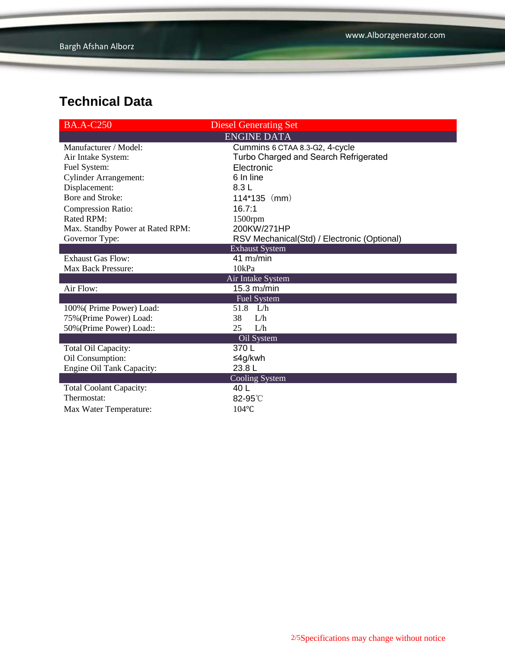| <b>BA.A-C250</b>                 | <b>Diesel Generating Set</b>                |
|----------------------------------|---------------------------------------------|
|                                  | <b>ENGINE DATA</b>                          |
| Manufacturer / Model:            | Cummins 6 CTAA 8.3-G2, 4-cycle              |
| Air Intake System:               | Turbo Charged and Search Refrigerated       |
| Fuel System:                     | Electronic                                  |
| <b>Cylinder Arrangement:</b>     | 6 In line                                   |
| Displacement:                    | 8.3L                                        |
| Bore and Stroke:                 | $114*135$ (mm)                              |
| <b>Compression Ratio:</b>        | 16.7:1                                      |
| <b>Rated RPM:</b>                | 1500rpm                                     |
| Max. Standby Power at Rated RPM: | 200KW/271HP                                 |
| Governor Type:                   | RSV Mechanical(Std) / Electronic (Optional) |
|                                  | <b>Exhaust System</b>                       |
| <b>Exhaust Gas Flow:</b>         | $41 \text{ m}$ <sub>2</sub> /min            |
| Max Back Pressure:               | 10kPa                                       |
|                                  | Air Intake System                           |
| Air Flow:                        | 15.3 m <sub>3</sub> /min                    |
|                                  | <b>Fuel System</b>                          |
| 100% (Prime Power) Load:         | 51.8 L/h                                    |
| 75% (Prime Power) Load:          | 38<br>L/h                                   |
| 50% (Prime Power) Load::         | 25<br>L/h                                   |
|                                  | Oil System                                  |
| Total Oil Capacity:              | 370L                                        |
| Oil Consumption:                 | ≤4g/kwh                                     |
| Engine Oil Tank Capacity:        | 23.8L                                       |
|                                  | Cooling System                              |
| <b>Total Coolant Capacity:</b>   | 40 L                                        |
| Thermostat:                      | 82-95°C                                     |
| Max Water Temperature:           | $104$ °C                                    |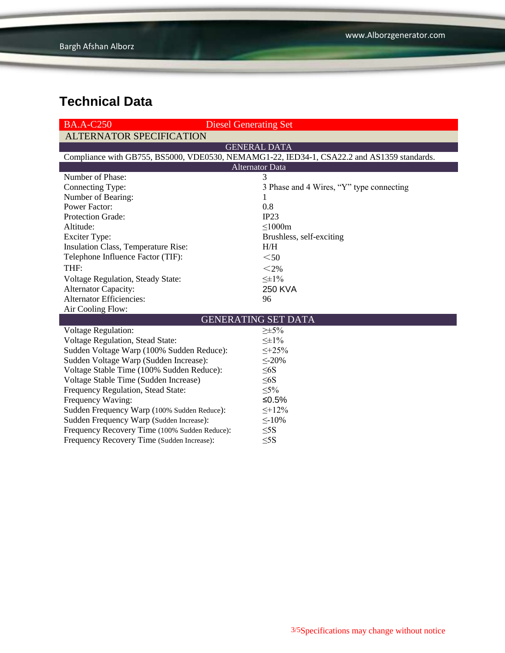| <b>BA.A-C250</b>                                                                           | <b>Diesel Generating Set</b>             |  |  |  |  |
|--------------------------------------------------------------------------------------------|------------------------------------------|--|--|--|--|
| <b>ALTERNATOR SPECIFICATION</b>                                                            |                                          |  |  |  |  |
|                                                                                            | <b>GENERAL DATA</b>                      |  |  |  |  |
| Compliance with GB755, BS5000, VDE0530, NEMAMG1-22, IED34-1, CSA22.2 and AS1359 standards. |                                          |  |  |  |  |
| <b>Alternator Data</b>                                                                     |                                          |  |  |  |  |
| Number of Phase:                                                                           | 3                                        |  |  |  |  |
| Connecting Type:                                                                           | 3 Phase and 4 Wires, "Y" type connecting |  |  |  |  |
| Number of Bearing:                                                                         | 1                                        |  |  |  |  |
| <b>Power Factor:</b>                                                                       | 0.8                                      |  |  |  |  |
| <b>Protection Grade:</b>                                                                   | IP23                                     |  |  |  |  |
| Altitude:                                                                                  | $\leq$ 1000m                             |  |  |  |  |
| <b>Exciter Type:</b>                                                                       | Brushless, self-exciting                 |  |  |  |  |
| Insulation Class, Temperature Rise:                                                        | H/H                                      |  |  |  |  |
| Telephone Influence Factor (TIF):                                                          | $50$                                     |  |  |  |  |
| THF:                                                                                       | $<$ 2%                                   |  |  |  |  |
| Voltage Regulation, Steady State:                                                          | $\leq \pm 1\%$                           |  |  |  |  |
| <b>Alternator Capacity:</b>                                                                | <b>250 KVA</b>                           |  |  |  |  |
| <b>Alternator Efficiencies:</b>                                                            | 96                                       |  |  |  |  |
| Air Cooling Flow:                                                                          |                                          |  |  |  |  |
| <b>GENERATING SET DATA</b>                                                                 |                                          |  |  |  |  |
| <b>Voltage Regulation:</b>                                                                 | $\geq \pm 5\%$                           |  |  |  |  |
| Voltage Regulation, Stead State:                                                           | $\leq \pm 1\%$                           |  |  |  |  |
| Sudden Voltage Warp (100% Sudden Reduce):                                                  | $\leq +25\%$                             |  |  |  |  |
| Sudden Voltage Warp (Sudden Increase):                                                     | $\leq$ -20%                              |  |  |  |  |
| Voltage Stable Time (100% Sudden Reduce):                                                  | $\leq 6S$                                |  |  |  |  |
| Voltage Stable Time (Sudden Increase)                                                      | $\leq 6S$                                |  |  |  |  |
| Frequency Regulation, Stead State:                                                         | $\leq 5\%$                               |  |  |  |  |
| Frequency Waving:                                                                          | ≤ $0.5%$                                 |  |  |  |  |
| Sudden Frequency Warp (100% Sudden Reduce):                                                | $\leq +12\%$                             |  |  |  |  |
| Sudden Frequency Warp (Sudden Increase):                                                   | $\leq$ -10%                              |  |  |  |  |
| Frequency Recovery Time (100% Sudden Reduce):                                              | $\leq$ 5S                                |  |  |  |  |
| Frequency Recovery Time (Sudden Increase):                                                 | $\leq$ 5S                                |  |  |  |  |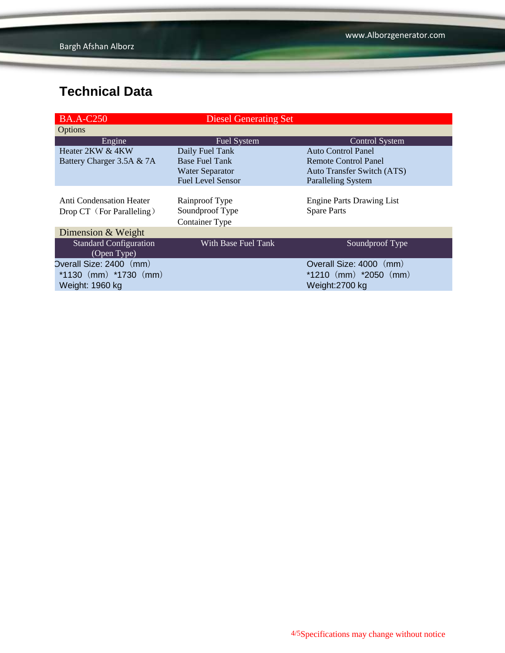| <b>BA.A-C250</b>                                      | <b>Diesel Generating Set</b>                               |                                                        |
|-------------------------------------------------------|------------------------------------------------------------|--------------------------------------------------------|
| Options                                               |                                                            |                                                        |
| Engine                                                | Fuel System                                                | Control System                                         |
| Heater 2KW & 4KW                                      | Daily Fuel Tank                                            | <b>Auto Control Panel</b>                              |
| Battery Charger 3.5A & 7A                             | <b>Base Fuel Tank</b>                                      | <b>Remote Control Panel</b>                            |
|                                                       | <b>Water Separator</b>                                     | <b>Auto Transfer Switch (ATS)</b>                      |
|                                                       | <b>Fuel Level Sensor</b>                                   | <b>Paralleling System</b>                              |
| Anti Condensation Heater<br>Drop CT (For Paralleling) | Rainproof Type<br>Soundproof Type<br><b>Container Type</b> | <b>Engine Parts Drawing List</b><br><b>Spare Parts</b> |
| Dimension & Weight                                    |                                                            |                                                        |
| <b>Standard Configuration</b><br>(Open Type)          | With Base Fuel Tank                                        | Soundproof Type                                        |
| Overall Size: 2400 (mm)                               |                                                            | Overall Size: 4000 (mm)                                |
| *1130 $(mm)$ *1730 $(mm)$                             |                                                            | $*1210$ (mm) $*2050$ (mm)                              |
| Weight: 1960 kg                                       |                                                            | Weight:2700 kg                                         |